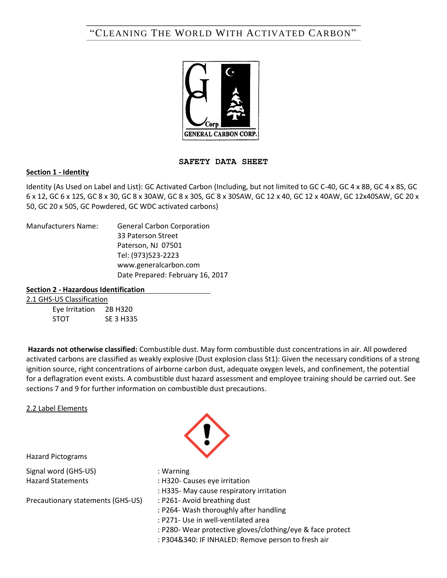# "CLEANING THE WORLD WITH ACTIVATED CARBON"



### **SAFETY DATA SHEET**

### **Section 1 - Identity**

Identity (As Used on Label and List): GC Activated Carbon (Including, but not limited to GC C-40, GC 4 x 8B, GC 4 x 8S, GC 6 x 12, GC 6 x 12S, GC 8 x 30, GC 8 x 30AW, GC 8 x 30S, GC 8 x 30SAW, GC 12 x 40, GC 12 x 40AW, GC 12x40SAW, GC 20 x 50, GC 20 x 50S, GC Powdered, GC WDC activated carbons)

Manufacturers Name: General Carbon Corporation 33 Paterson Street Paterson, NJ 07501 Tel: (973)523-2223 www.generalcarbon.com Date Prepared: February 16, 2017

### **Section 2 - Hazardous Identification**

#### 2.1 GHS-US Classification

Eye Irritation 2B H320 STOT SE 3 H335

**Hazards not otherwise classified:** Combustible dust. May form combustible dust concentrations in air. All powdered activated carbons are classified as weakly explosive (Dust explosion class St1): Given the necessary conditions of a strong ignition source, right concentrations of airborne carbon dust, adequate oxygen levels, and confinement, the potential for a deflagration event exists. A combustible dust hazard assessment and employee training should be carried out. See sections 7 and 9 for further information on combustible dust precautions.

### 2.2 Label Elements



Hazard Pictograms

Signal word (GHS-US) **in the Contract of Signal Warning** 

Precautionary statements (GHS-US) : P261- Avoid breathing dust

- 
- Hazard Statements : H320- Causes eye irritation
	- : H335- May cause respiratory irritation
	-
	- : P264- Wash thoroughly after handling
	- : P271- Use in well-ventilated area
	- : P280- Wear protective gloves/clothing/eye & face protect
	- : P304&340: IF INHALED: Remove person to fresh air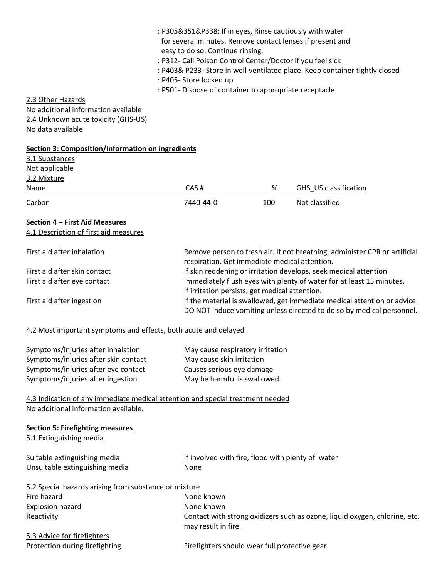| 2.3 Other Hazards<br>No additional information available                       | : P305&351&P338: If in eyes, Rinse cautiously with water<br>for several minutes. Remove contact lenses if present and<br>easy to do so. Continue rinsing.<br>: P312- Call Poison Control Center/Doctor if you feel sick<br>: P405- Store locked up<br>: P501- Dispose of container to appropriate receptacle |                           | : P403& P233- Store in well-ventilated place. Keep container tightly closed                                                                       |
|--------------------------------------------------------------------------------|--------------------------------------------------------------------------------------------------------------------------------------------------------------------------------------------------------------------------------------------------------------------------------------------------------------|---------------------------|---------------------------------------------------------------------------------------------------------------------------------------------------|
| 2.4 Unknown acute toxicity (GHS-US)                                            |                                                                                                                                                                                                                                                                                                              |                           |                                                                                                                                                   |
| No data available                                                              |                                                                                                                                                                                                                                                                                                              |                           |                                                                                                                                                   |
| <b>Section 3: Composition/information on ingredients</b>                       |                                                                                                                                                                                                                                                                                                              |                           |                                                                                                                                                   |
| 3.1 Substances<br>Not applicable                                               |                                                                                                                                                                                                                                                                                                              |                           |                                                                                                                                                   |
| 3.2 Mixture                                                                    |                                                                                                                                                                                                                                                                                                              |                           |                                                                                                                                                   |
| Name                                                                           | CAS#                                                                                                                                                                                                                                                                                                         | %                         | GHS_US classification                                                                                                                             |
| Carbon                                                                         | 7440-44-0                                                                                                                                                                                                                                                                                                    | 100                       | Not classified                                                                                                                                    |
| Section 4 - First Aid Measures                                                 |                                                                                                                                                                                                                                                                                                              |                           |                                                                                                                                                   |
| 4.1 Description of first aid measures                                          |                                                                                                                                                                                                                                                                                                              |                           |                                                                                                                                                   |
| First aid after inhalation                                                     | Remove person to fresh air. If not breathing, administer CPR or artificial<br>respiration. Get immediate medical attention.                                                                                                                                                                                  |                           |                                                                                                                                                   |
| First aid after skin contact                                                   | If skin reddening or irritation develops, seek medical attention                                                                                                                                                                                                                                             |                           |                                                                                                                                                   |
| First aid after eye contact                                                    |                                                                                                                                                                                                                                                                                                              |                           | Immediately flush eyes with plenty of water for at least 15 minutes.                                                                              |
| First aid after ingestion                                                      | If irritation persists, get medical attention.                                                                                                                                                                                                                                                               |                           | If the material is swallowed, get immediate medical attention or advice.<br>DO NOT induce vomiting unless directed to do so by medical personnel. |
| 4.2 Most important symptoms and effects, both acute and delayed                |                                                                                                                                                                                                                                                                                                              |                           |                                                                                                                                                   |
| Symptoms/injuries after inhalation                                             | May cause respiratory irritation                                                                                                                                                                                                                                                                             |                           |                                                                                                                                                   |
| Symptoms/injuries after skin contact                                           | May cause skin irritation                                                                                                                                                                                                                                                                                    |                           |                                                                                                                                                   |
| Symptoms/injuries after eye contact                                            |                                                                                                                                                                                                                                                                                                              | Causes serious eye damage |                                                                                                                                                   |
| Symptoms/injuries after ingestion                                              | May be harmful is swallowed                                                                                                                                                                                                                                                                                  |                           |                                                                                                                                                   |
| 4.3 Indication of any immediate medical attention and special treatment needed |                                                                                                                                                                                                                                                                                                              |                           |                                                                                                                                                   |
| No additional information available.                                           |                                                                                                                                                                                                                                                                                                              |                           |                                                                                                                                                   |
| <b>Section 5: Firefighting measures</b><br>5.1 Extinguishing media             |                                                                                                                                                                                                                                                                                                              |                           |                                                                                                                                                   |
| Suitable extinguishing media                                                   | If involved with fire, flood with plenty of water                                                                                                                                                                                                                                                            |                           |                                                                                                                                                   |
| Unsuitable extinguishing media                                                 | None                                                                                                                                                                                                                                                                                                         |                           |                                                                                                                                                   |
| 5.2 Special hazards arising from substance or mixture                          |                                                                                                                                                                                                                                                                                                              |                           |                                                                                                                                                   |
| Fire hazard                                                                    | None known                                                                                                                                                                                                                                                                                                   |                           |                                                                                                                                                   |
| <b>Explosion hazard</b>                                                        | None known                                                                                                                                                                                                                                                                                                   |                           |                                                                                                                                                   |
| Reactivity                                                                     | may result in fire.                                                                                                                                                                                                                                                                                          |                           | Contact with strong oxidizers such as ozone, liquid oxygen, chlorine, etc.                                                                        |
| 5.3 Advice for firefighters                                                    |                                                                                                                                                                                                                                                                                                              |                           |                                                                                                                                                   |
| Protection during firefighting                                                 | Firefighters should wear full protective gear                                                                                                                                                                                                                                                                |                           |                                                                                                                                                   |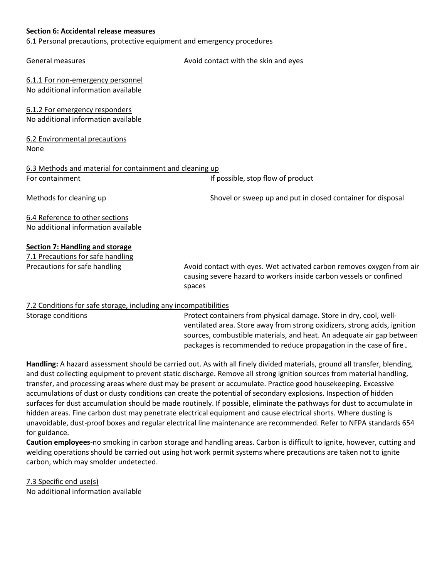### **Section 6: Accidental release measures**

6.1 Personal precautions, protective equipment and emergency procedures

| General measures                                         | Avoid contact with the skin and eyes                                                                                                                  |  |
|----------------------------------------------------------|-------------------------------------------------------------------------------------------------------------------------------------------------------|--|
| 6.1.1 For non-emergency personnel                        |                                                                                                                                                       |  |
| No additional information available                      |                                                                                                                                                       |  |
| 6.1.2 For emergency responders                           |                                                                                                                                                       |  |
| No additional information available                      |                                                                                                                                                       |  |
| 6.2 Environmental precautions                            |                                                                                                                                                       |  |
| None                                                     |                                                                                                                                                       |  |
| 6.3 Methods and material for containment and cleaning up |                                                                                                                                                       |  |
| For containment                                          | If possible, stop flow of product                                                                                                                     |  |
| Methods for cleaning up                                  | Shovel or sweep up and put in closed container for disposal                                                                                           |  |
| 6.4 Reference to other sections                          |                                                                                                                                                       |  |
| No additional information available                      |                                                                                                                                                       |  |
| <b>Section 7: Handling and storage</b>                   |                                                                                                                                                       |  |
| 7.1 Precautions for safe handling                        |                                                                                                                                                       |  |
| Precautions for safe handling                            | Avoid contact with eyes. Wet activated carbon removes oxygen from air<br>causing severe hazard to workers inside carbon vessels or confined<br>spaces |  |
|                                                          |                                                                                                                                                       |  |

### 7.2 Conditions for safe storage, including any incompatibilities

Storage conditions **Protect containers from physical damage. Store in dry, cool, well**ventilated area. Store away from strong oxidizers, strong acids, ignition sources, combustible materials, and heat. An adequate air gap between packages is recommended to reduce propagation in the case of fire.

**Handling:** A hazard assessment should be carried out. As with all finely divided materials, ground all transfer, blending, and dust collecting equipment to prevent static discharge. Remove all strong ignition sources from material handling, transfer, and processing areas where dust may be present or accumulate. Practice good housekeeping. Excessive accumulations of dust or dusty conditions can create the potential of secondary explosions. Inspection of hidden surfaces for dust accumulation should be made routinely. If possible, eliminate the pathways for dust to accumulate in hidden areas. Fine carbon dust may penetrate electrical equipment and cause electrical shorts. Where dusting is unavoidable, dust-proof boxes and regular electrical line maintenance are recommended. Refer to NFPA standards 654 for guidance.

**Caution employees**-no smoking in carbon storage and handling areas. Carbon is difficult to ignite, however, cutting and welding operations should be carried out using hot work permit systems where precautions are taken not to ignite carbon, which may smolder undetected.

7.3 Specific end use(s) No additional information available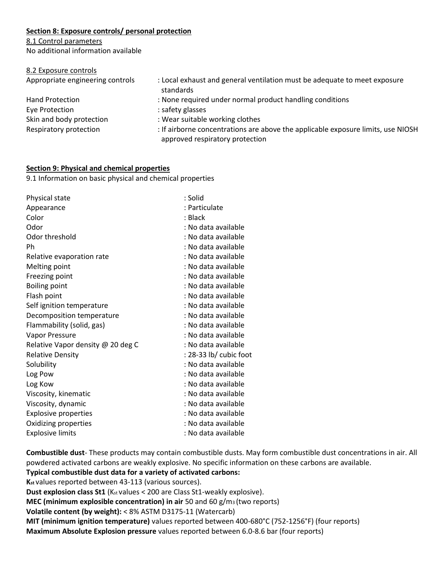# **Section 8: Exposure controls/ personal protection**

### 8.1 Control parameters

No additional information available

### 8.2 Exposure controls

Eye Protection in the safety glasses is safety as a set of the set of the same state of the set of the set of the set of the set of the set of the set of the set of the set of the set of the set of the set of the set of th

Appropriate engineering controls : Local exhaust and general ventilation must be adequate to meet exposure standards

- Hand Protection : None required under normal product handling conditions
	-
- Skin and body protection : Wear suitable working clothes

Respiratory protection : If airborne concentrations are above the applicable exposure limits, use NIOSH approved respiratory protection

# **Section 9: Physical and chemical properties**

9.1 Information on basic physical and chemical properties

| Physical state                    | : Solid                |
|-----------------------------------|------------------------|
| Appearance                        | : Particulate          |
| Color                             | : Black                |
| Odor                              | : No data available    |
| Odor threshold                    | : No data available    |
| Ph                                | : No data available    |
| Relative evaporation rate         | : No data available    |
| Melting point                     | : No data available    |
| Freezing point                    | : No data available    |
| <b>Boiling point</b>              | : No data available    |
| Flash point                       | : No data available    |
| Self ignition temperature         | : No data available    |
| Decomposition temperature         | : No data available    |
| Flammability (solid, gas)         | : No data available    |
| Vapor Pressure                    | : No data available    |
| Relative Vapor density @ 20 deg C | : No data available    |
| <b>Relative Density</b>           | : 28-33 lb/ cubic foot |
| Solubility                        | : No data available    |
| Log Pow                           | : No data available    |
| Log Kow                           | : No data available    |
| Viscosity, kinematic              | : No data available    |
| Viscosity, dynamic                | : No data available    |
| <b>Explosive properties</b>       | : No data available    |
| Oxidizing properties              | : No data available    |
| <b>Explosive limits</b>           | : No data available    |

**Combustible dust**- These products may contain combustible dusts. May form combustible dust concentrations in air. All powdered activated carbons are weakly explosive. No specific information on these carbons are available.

**Typical combustible dust data for a variety of activated carbons:** 

**Kst** values reported between 43-113 (various sources).

**Dust explosion class St1** (K<sub>st</sub> values < 200 are Class St1-weakly explosive).

**MEC (minimum explosible concentration) in air** 50 and 60 g/m3 (two reports)

**Volatile content (by weight):** < 8% ASTM D3175-11 (Watercarb)

**MIT (minimum ignition temperature)** values reported between 400-680°C (752-1256°F) (four reports)

**Maximum Absolute Explosion pressure** values reported between 6.0-8.6 bar (four reports)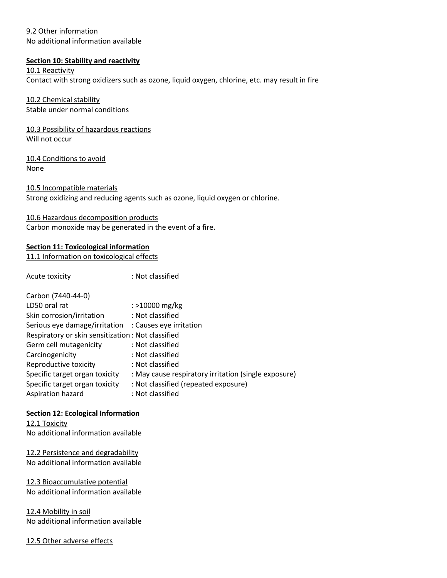# 9.2 Other information

No additional information available

# **Section 10: Stability and reactivity**

10.1 Reactivity

Contact with strong oxidizers such as ozone, liquid oxygen, chlorine, etc. may result in fire

### 10.2 Chemical stability Stable under normal conditions

10.3 Possibility of hazardous reactions Will not occur

10.4 Conditions to avoid None

10.5 Incompatible materials Strong oxidizing and reducing agents such as ozone, liquid oxygen or chlorine.

10.6 Hazardous decomposition products Carbon monoxide may be generated in the event of a fire.

### **Section 11: Toxicological information**

11.1 Information on toxicological effects

Acute toxicity in the set of the set of the set of the set of the set of the set of the set of the set of the s

| Carbon (7440-44-0)                                    |                                                      |
|-------------------------------------------------------|------------------------------------------------------|
| LD50 oral rat                                         | : >10000 mg/kg                                       |
| Skin corrosion/irritation                             | : Not classified                                     |
| Serious eye damage/irritation : Causes eye irritation |                                                      |
| Respiratory or skin sensitization: Not classified     |                                                      |
| Germ cell mutagenicity                                | : Not classified                                     |
| Carcinogenicity                                       | : Not classified                                     |
| Reproductive toxicity                                 | : Not classified                                     |
| Specific target organ toxicity                        | : May cause respiratory irritation (single exposure) |
| Specific target organ toxicity                        | : Not classified (repeated exposure)                 |
| Aspiration hazard                                     | : Not classified                                     |

### **Section 12: Ecological Information**

12.1 Toxicity No additional information available

12.2 Persistence and degradability No additional information available

12.3 Bioaccumulative potential No additional information available

12.4 Mobility in soil No additional information available

12.5 Other adverse effects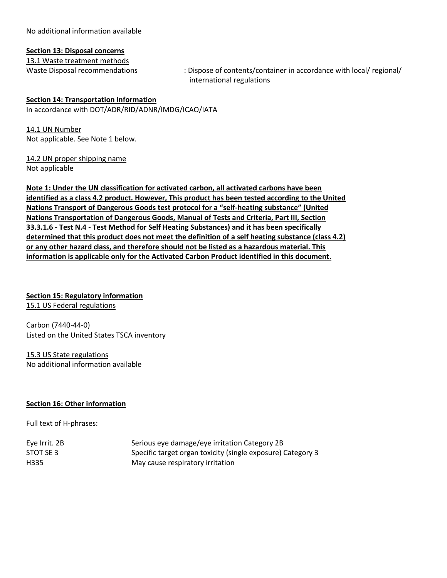No additional information available

### **Section 13: Disposal concerns**

13.1 Waste treatment methods

Waste Disposal recommendations : Dispose of contents/container in accordance with local/ regional/ international regulations

### **Section 14: Transportation information**

In accordance with DOT/ADR/RID/ADNR/IMDG/ICAO/IATA

14.1 UN Number Not applicable. See Note 1 below.

14.2 UN proper shipping name Not applicable

**Note 1: Under the UN classification for activated carbon, all activated carbons have been identified as a class 4.2 product. However, This product has been tested according to the United Nations Transport of Dangerous Goods test protocol for a "self-heating substance" (United Nations Transportation of Dangerous Goods, Manual of Tests and Criteria, Part III, Section 33.3.1.6 - Test N.4 - Test Method for Self Heating Substances) and it has been specifically determined that this product does not meet the definition of a self heating substance (class 4.2) or any other hazard class, and therefore should not be listed as a hazardous material. This information is applicable only for the Activated Carbon Product identified in this document.**

# **Section 15: Regulatory information**

15.1 US Federal regulations

Carbon (7440-44-0) Listed on the United States TSCA inventory

15.3 US State regulations No additional information available

### **Section 16: Other information**

Full text of H-phrases:

| Eye Irrit. 2B | Serious eye damage/eye irritation Category 2B               |
|---------------|-------------------------------------------------------------|
| STOT SE 3     | Specific target organ toxicity (single exposure) Category 3 |
| H335          | May cause respiratory irritation                            |